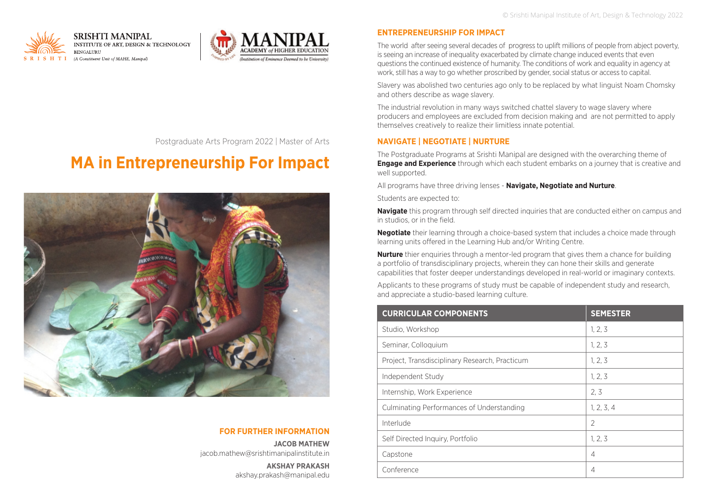



Postgraduate Arts Program 2022 | Master of Arts

# **MA in Entrepreneurship For Impact**



# **FOR FURTHER INFORMATION**

**JACOB MATHEW** jacob.mathew@srishtimanipalinstitute.in

> **AKSHAY PRAKASH** akshay.prakash@manipal.edu

## **ENTREPRENEURSHIP FOR IMPACT**

The world after seeing several decades of progress to uplift millions of people from abject poverty, is seeing an increase of inequality exacerbated by climate change induced events that even questions the continued existence of humanity. The conditions of work and equality in agency at work, still has a way to go whether proscribed by gender, social status or access to capital.

Slavery was abolished two centuries ago only to be replaced by what linguist Noam Chomsky and others describe as wage slavery.

The industrial revolution in many ways switched chattel slavery to wage slavery where producers and employees are excluded from decision making and are not permitted to apply themselves creatively to realize their limitless innate potential.

#### **NAVIGATE | NEGOTIATE | NURTURE**

The Postgraduate Programs at Srishti Manipal are designed with the overarching theme of **Engage and Experience** through which each student embarks on a journey that is creative and well supported.

All programs have three driving lenses - **Navigate, Negotiate and Nurture**.

Students are expected to:

**Navigate** this program through self directed inquiries that are conducted either on campus and in studios, or in the field.

**Negotiate** their learning through a choice-based system that includes a choice made through learning units offered in the Learning Hub and/or Writing Centre.

**Nurture** thier enquiries through a mentor-led program that gives them a chance for building a portfolio of transdisciplinary projects, wherein they can hone their skills and generate capabilities that foster deeper understandings developed in real-world or imaginary contexts.

Applicants to these programs of study must be capable of independent study and research, and appreciate a studio-based learning culture.

| <b>CURRICULAR COMPONENTS</b>                   | <b>SEMESTER</b> |
|------------------------------------------------|-----------------|
| Studio, Workshop                               | 1, 2, 3         |
| Seminar, Colloquium                            | 1, 2, 3         |
| Project, Transdisciplinary Research, Practicum | 1, 2, 3         |
| Independent Study                              | 1, 2, 3         |
| Internship, Work Experience                    | 2.3             |
| Culminating Performances of Understanding      | 1, 2, 3, 4      |
| Interlude                                      | $\overline{2}$  |
| Self Directed Inquiry, Portfolio               | 1, 2, 3         |
| Capstone                                       | $\overline{4}$  |
| Conference                                     | 4               |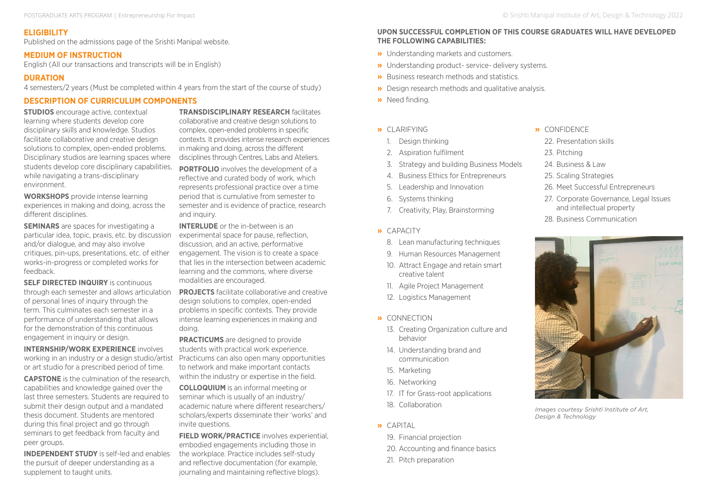# **ELIGIBILITY**

Published on the admissions page of the Srishti Manipal website.

#### **MEDIUM OF INSTRUCTION**

English (All our transactions and transcripts will be in English)

# **DURATION**

4 semesters/2 years (Must be completed within 4 years from the start of the course of study)

# **DESCRIPTION OF CURRICULUM COMPONENTS**

**STUDIOS** encourage active, contextual learning where students develop core disciplinary skills and knowledge. Studios facilitate collaborative and creative design solutions to complex, open-ended problems. Disciplinary studios are learning spaces where students develop core disciplinary capabilities, while navigating a trans-disciplinary environment.

**WORKSHOPS** provide intense learning experiences in making and doing, across the different disciplines.

**SEMINARS** are spaces for investigating a particular idea, topic, praxis, etc. by discussion and/or dialogue, and may also involve critiques, pin-ups, presentations, etc. of either works-in-progress or completed works for feedback.

**SELF DIRECTED INQUIRY** is continuous through each semester and allows articulation of personal lines of inquiry through the term. This culminates each semester in a performance of understanding that allows for the demonstration of this continuous engagement in inquiry or design.

**INTERNSHIP/WORK EXPERIENCE** involves working in an industry or a design studio/artist or art studio for a prescribed period of time.

**CAPSTONE** is the culmination of the research, capabilities and knowledge gained over the last three semesters. Students are required to submit their design output and a mandated thesis document. Students are mentored during this final project and go through seminars to get feedback from faculty and peer groups.

**INDEPENDENT STUDY** is self-led and enables the pursuit of deeper understanding as a supplement to taught units.

**TRANSDISCIPLINARY RESEARCH** facilitates collaborative and creative design solutions to complex, open-ended problems in specific contexts. It provides intense research experiences in making and doing, across the different disciplines through Centres, Labs and Ateliers.

**PORTFOLIO** involves the development of a reflective and curated body of work, which represents professional practice over a time period that is cumulative from semester to semester and is evidence of practice, research and inquiry.

**INTERLUDE** or the in-between is an experimental space for pause, reflection discussion, and an active, performative engagement. The vision is to create a space that lies in the intersection between academic learning and the commons, where diverse modalities are encouraged.

**PROJECTS** facilitate collaborative and creative design solutions to complex, open-ended problems in specific contexts. They provide intense learning experiences in making and doing.

**PRACTICUMS** are designed to provide students with practical work experience. Practicums can also open many opportunities to network and make important contacts within the industry or expertise in the field.

**COLLOQUIUM** is an informal meeting or seminar which is usually of an industry/ academic nature where different researchers/ scholars/experts disseminate their 'works' and invite questions.

**FIELD WORK/PRACTICE** involves experiential. embodied engagements including those in the workplace. Practice includes self-study and reflective documentation (for example, journaling and maintaining reflective blogs).

#### **UPON SUCCESSFUL COMPLETION OF THIS COURSE GRADUATES WILL HAVE DEVELOPED THE FOLLOWING CAPABILITIES:**

- **»** Understanding markets and customers.
- **»** Understanding product- service- delivery systems.
- **»** Business research methods and statistics.
- **»** Design research methods and qualitative analysis.
- **»** Need finding.
- **»** CLARIFYING
	- 1. Design thinking
	- 2. Aspiration fulfilment
	- 3. Strategy and building Business Models
	- 4. Business Ethics for Entrepreneurs
	- 5. Leadership and Innovation
	- 6. Systems thinking
	- 7. Creativity, Play, Brainstorming
- **»** CAPACITY
	- 8. Lean manufacturing techniques
	- 9. Human Resources Management
	- 10. Attract Engage and retain smart creative talent
	- 11. Agile Project Management
	- 12. Logistics Management
- **»** CONNECTION
	- 13. Creating Organization culture and behavior
	- 14. Understanding brand and communication
	- 15. Marketing
	- 16. Networking
	- 17. IT for Grass-root applications
	- 18. Collaboration
- **»** CAPITAL
	- 19. Financial projection
	- 20. Accounting and finance basics
	- 21. Pitch preparation
- **»** CONFIDENCE
- 22. Presentation skills
- 23. Pitching
- 24. Business & Law
- 25. Scaling Strategies
- 26. Meet Successful Entrepreneurs
- 27. Corporate Governance, Legal Issues and intellectual property
- 28. Business Communication



*Images courtesy Srishti Institute of Art, Design & Technology*